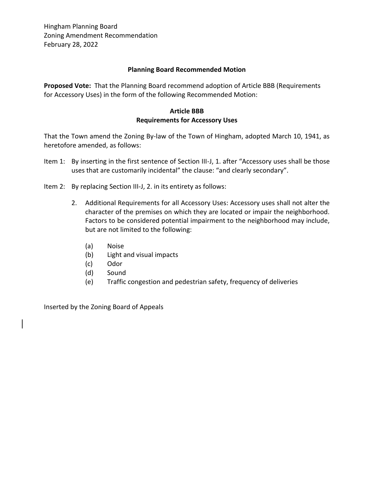### **Planning Board Recommended Motion**

**Proposed Vote:** That the Planning Board recommend adoption of Article BBB (Requirements for Accessory Uses) in the form of the following Recommended Motion:

# **Article BBB Requirements for Accessory Uses**

That the Town amend the Zoning By-law of the Town of Hingham, adopted March 10, 1941, as heretofore amended, as follows:

- Item 1: By inserting in the first sentence of Section III-J, 1. after "Accessory uses shall be those uses that are customarily incidental" the clause: "and clearly secondary".
- Item 2: By replacing Section III-J, 2. in its entirety as follows:
	- 2. Additional Requirements for all Accessory Uses: Accessory uses shall not alter the character of the premises on which they are located or impair the neighborhood. Factors to be considered potential impairment to the neighborhood may include, but are not limited to the following:
		- (a) Noise
		- (b) Light and visual impacts
		- (c) Odor
		- (d) Sound
		- (e) Traffic congestion and pedestrian safety, frequency of deliveries

Inserted by the Zoning Board of Appeals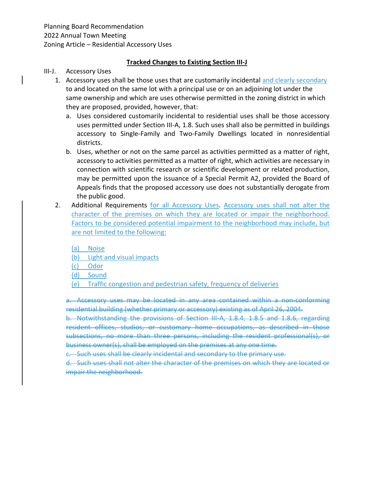## **Tracked Changes to Existing Section III-J**

### III-J. Accessory Uses

- 1. Accessory uses shall be those uses that are customarily incidental and clearly secondary to and located on the same lot with a principal use or on an adjoining lot under the same ownership and which are uses otherwise permitted in the zoning district in which they are proposed, provided, however, that:
	- a. Uses considered customarily incidental to residential uses shall be those accessory uses permitted under Section III-A, 1.8. Such uses shall also be permitted in buildings accessory to Single-Family and Two-Family Dwellings located in nonresidential districts.
	- b. Uses, whether or not on the same parcel as activities permitted as a matter of right, accessory to activities permitted as a matter of right, which activities are necessary in connection with scientific research or scientific development or related production, may be permitted upon the issuance of a Special Permit A2, provided the Board of Appeals finds that the proposed accessory use does not substantially derogate from the public good.
- 2. Additional Requirements for all Accessory Uses. Accessory uses shall not alter the character of the premises on which they are located or impair the neighborhood. Factors to be considered potential impairment to the neighborhood may include, but are not limited to the following:

(a) Noise

(b) Light and visual impacts

(c) Odor

- (d) Sound
- (e) Traffic congestion and pedestrian safety, frequency of deliveries

a. Accessory uses may be located in any area contained within a non-conforming residential building (whether primary or accessory) existing as of April 26, 2004.

b. Notwithstanding the provisions of Section III-A, 1.8.4, 1.8.5 and 1.8.6, regarding resident offices, studios, or customary home occupations, as described in those subsections, no more than three persons, including the resident professional(s), or business owner(s), shall be employed on the premises at any one time.

c. Such uses shall be clearly incidental and secondary to the primary use.

d. Such uses shall not alter the character of the premises on which they are located or impair the neighborhood.